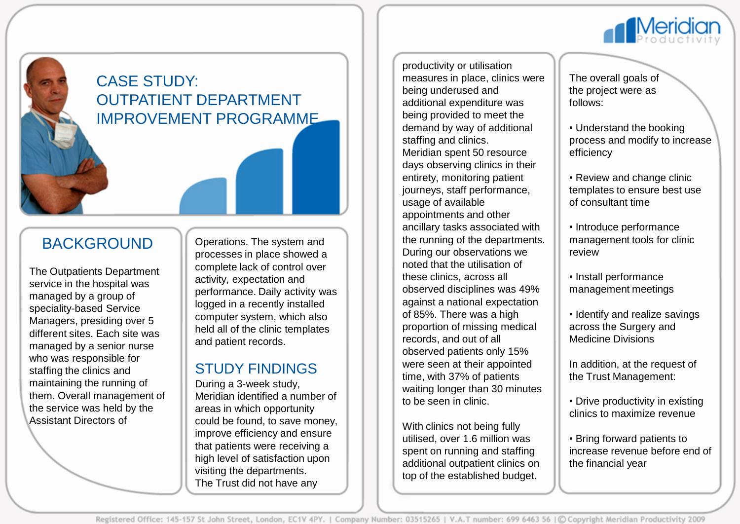

# CASE STUDY: OUTPATIENT DEPARTMENT IMPROVEMENT PROGRAMME

# BACKGROUND

The Outpatients Department service in the hospital was managed by a group of speciality-based Service Managers, presiding over 5 different sites. Each site was managed by a senior nurse who was responsible for staffing the clinics and maintaining the running of them. Overall management of the service was held by the Assistant Directors of

Operations. The system and processes in place showed a complete lack of control over activity, expectation and performance. Daily activity was logged in a recently installed computer system, which also held all of the clinic templates and patient records.

#### STUDY FINDINGS

During a 3-week study, Meridian identified a number of areas in which opportunity could be found, to save money, improve efficiency and ensure that patients were receiving a high level of satisfaction upon visiting the departments. The Trust did not have any

productivity or utilisation measures in place, clinics were being underused and additional expenditure was being provided to meet the demand by way of additional staffing and clinics. Meridian spent 50 resource days observing clinics in their entirety, monitoring patient journeys, staff performance, usage of available appointments and other ancillary tasks associated with the running of the departments. During our observations we noted that the utilisation of these clinics, across all observed disciplines was 49% against a national expectation of 85%. There was a high proportion of missing medical records, and out of all observed patients only 15% were seen at their appointed time, with 37% of patients waiting longer than 30 minutes to be seen in clinic.

With clinics not being fully utilised, over 1.6 million was spent on running and staffing additional outpatient clinics on top of the established budget.

The overall goals of the project were as follows:

• Understand the booking process and modify to increase efficiency

• Review and change clinic templates to ensure best use of consultant time

• Introduce performance management tools for clinic review

• Install performance management meetings

• Identify and realize savings across the Surgery and Medicine Divisions

In addition, at the request of the Trust Management:

• Drive productivity in existing clinics to maximize revenue

• Bring forward patients to increase revenue before end of the financial year

Registered Office: 145-157 St John Street, London, EC1V 4PY. | Company Number: 03515265 | V.A.T number: 699 6463 56 | © Copyright Meridian Productivity 2009